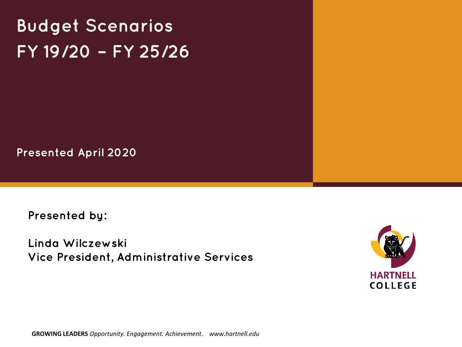**Budget Scenarios FY 19/20 – FY 25/26**

**Presented April 2020**

**Presented by:**

**Linda Wilczewski Vice President, Administrative Services**



**GROWING LEADERS** *Opportunity. Engagement. Achievement. www.hartnell.edu*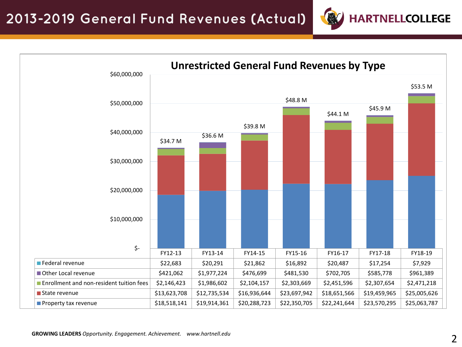

**HARTNELLCOLLEGE**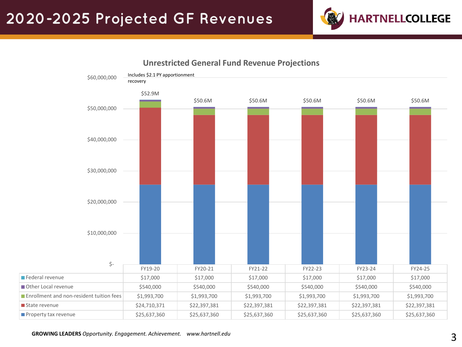



#### **Unrestricted General Fund Revenue Projections**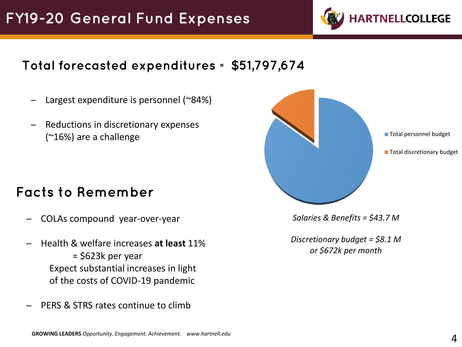

### **Total forecasted expenditures = \$51,797,674**

- Largest expenditure is personnel  $(284%)$
- Reductions in discretionary expenses (~16%) are a challenge

## **Facts to Remember**

- ─ COLAs compound year-over-year
- ─ Health & welfare increases **at least** 11% = \$623k per year Expect substantial increases in light of the costs of COVID-19 pandemic
- PERS & STRS rates continue to climb



■ Total personnel budget

**Total discretionary budget** 

*Salaries & Benefits = \$43.7 M*

*Discretionary budget = \$8.1 M or \$672k per month*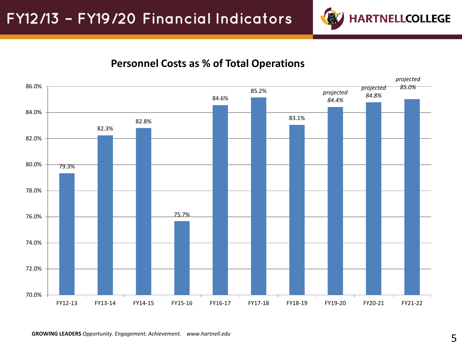

#### **Personnel Costs as % of Total Operations**

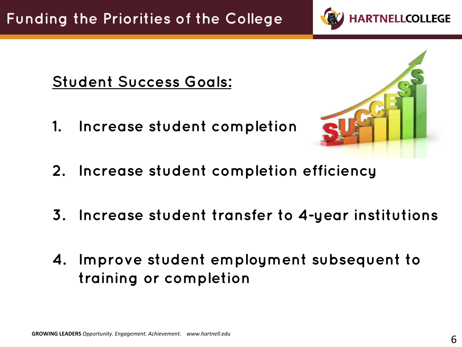

## **Student Success Goals:**

**1. Increase student completion** 



- **2. Increase student completion efficiency**
- **3. Increase student transfer to 4-year institutions**
- **4. Improve student employment subsequent to training or completion**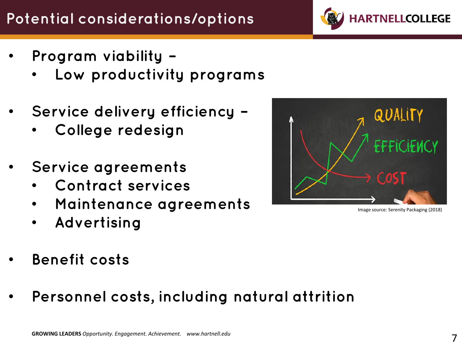# **Potential considerations/options**

- **Program viability –**
	- **Low productivity programs**
- **Service delivery efficiency –**
	- **College redesign**
- **Service agreements**
	- **Contract services**
	- **Maintenance agreements**
	- **Advertising**
- **Benefit costs**
- **Personnel costs, including natural attrition**



Image source: Serenity Packaging (2018)

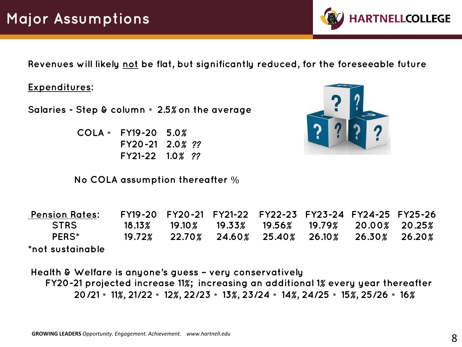**Revenues will likely not be flat, but significantly reduced, for the foreseeable future**

#### **Expenditures:**

**Salaries - Step & column = 2.5**% **on the average**

**COLA = FY19-20 5.0**% **FY20-21 2.0**% ?? **FY21-22 1.0**% ??

**No COLA assumption thereafter** %

**Pension Rates: FY19-20 FY20-21 FY21-22 FY22-23 FY23-24 FY24-25 FY25-26 STRS 18.13**% **19.10**% **19.33**% **19.56**% **19.79**% **20.00**% **20.25**% **PERS\* 19.72**% **22.70**% **24.60**% **25.40**% **26.10**% **26.30**% **26.20**% **\*not sustainable**

**Health & Welfare is anyone's guess – very conservatively FY20-21 projected increase 11**%**; increasing an additional 1**% **every year thereafter 20/21 = 11**%**, 21/22 = 12**%**, 22/23 = 13**%**, 23/24 = 14**%**, 24/25 = 15**%**, 25/26 = 16**%



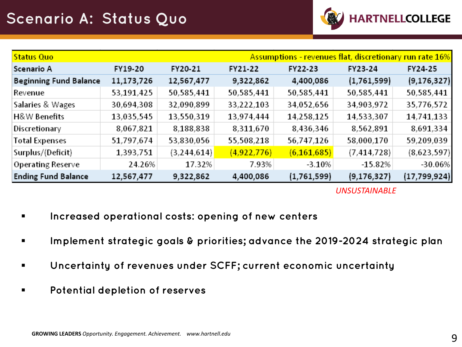

| <b>Assumptions - revenues flat, discretionary run rate 16%</b><br><b>Status Quo</b> |            |               |             |               |               |                |
|-------------------------------------------------------------------------------------|------------|---------------|-------------|---------------|---------------|----------------|
| Scenario A                                                                          | FY19-20    | FY20-21       | FY21-22     | FY22-23       | FY23-24       | FY24-25        |
| <b>Beginning Fund Balance</b>                                                       | 11,173,726 | 12,567,477    | 9,322,862   | 4,400,086     | (1,761,599)   | (9, 176, 327)  |
| Revenue                                                                             | 53,191,425 | 50,585,441    | 50,585,441  | 50,585,441    | 50,585,441    | 50,585,441     |
| Salaries & Wages                                                                    | 30,694,308 | 32,090,899    | 33,222,103  | 34,052,656    | 34,903,972    | 35,776,572     |
| H&W Benefits                                                                        | 13,035,545 | 13,550,319    | 13,974,444  | 14,258,125    | 14,533,307    | 14,741,133     |
| Discretionary                                                                       | 8,067,821  | 8,188,838     | 8,311,670   | 8,436,346     | 8,562,891     | 8,691,334      |
| <b>Total Expenses</b>                                                               | 51,797,674 | 53,830,056    | 55,508,218  | 56,747,126    | 58,000,170    | 59,209,039     |
| Surplus/(Deficit)                                                                   | 1,393,751  | (3, 244, 614) | (4,922,776) | (6, 161, 685) | (7, 414, 728) | (8,623,597)    |
| <b>Operating Reserve</b>                                                            | 24.26%     | 17.32%        | 7.93%       | $-3.10%$      | $-15.82%$     | $-30.06%$      |
| <b>Ending Fund Balance</b>                                                          | 12,567,477 | 9,322,862     | 4,400,086   | (1,761,599)   | (9, 176, 327) | (17, 799, 924) |

*UNSUSTAINABLE*

- **Increased operational costs: opening of new centers**
- **Implement strategic goals & priorities; advance the 2019-2024 strategic plan**
- **Uncertainty of revenues under SCFF; current economic uncertainty**
- **Potential depletion of reserves**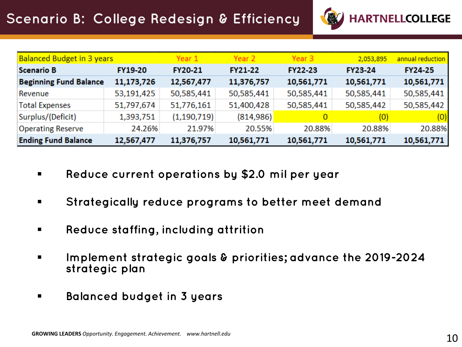

| <b>Balanced Budget in 3 years</b> |                | Year 1         | Year 2     | Year 3         | 2,053,895      | annual reduction |
|-----------------------------------|----------------|----------------|------------|----------------|----------------|------------------|
| Scenario B                        | <b>FY19-20</b> | <b>FY20-21</b> | FY21-22    | <b>FY22-23</b> | <b>FY23-24</b> | <b>FY24-25</b>   |
| <b>Beginning Fund Balance</b>     | 11,173,726     | 12,567,477     | 11,376,757 | 10,561,771     | 10,561,771     | 10,561,771       |
| Revenue                           | 53,191,425     | 50,585,441     | 50,585,441 | 50,585,441     | 50,585,441     | 50,585,441       |
| <b>Total Expenses</b>             | 51,797,674     | 51,776,161     | 51,400,428 | 50,585,441     | 50,585,442     | 50,585,442       |
| Surplus/(Deficit)                 | 1,393,751      | (1, 190, 719)  | (814, 986) |                | (0)            | (0)              |
| <b>Operating Reserve</b>          | 24.26%         | 21.97%         | 20.55%     | 20.88%         | 20.88%         | 20.88%           |
| <b>Ending Fund Balance</b>        | 12,567,477     | 11,376,757     | 10,561,771 | 10,561,771     | 10,561,771     | 10,561,771       |

- **Reduce current operations by \$2.0 mil per year**
- **Strategically reduce programs to better meet demand**
- **Reduce staffing, including attrition**
- **Implement strategic goals & priorities; advance the 2019-2024 strategic plan**
- **Balanced budget in 3 years**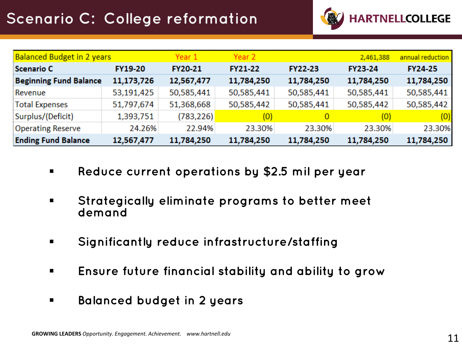

| <b>Balanced Budget in 2 years</b> |                | Year 1         | Year 2         |                | 2,461,388      | annual reduction |
|-----------------------------------|----------------|----------------|----------------|----------------|----------------|------------------|
| Scenario C                        | <b>FY19-20</b> | <b>FY20-21</b> | <b>FY21-22</b> | <b>FY22-23</b> | <b>FY23-24</b> | <b>FY24-25</b>   |
| <b>Beginning Fund Balance</b>     | 11,173,726     | 12,567,477     | 11,784,250     | 11,784,250     | 11,784,250     | 11,784,250       |
| Revenue                           | 53,191,425     | 50,585,441     | 50,585,441     | 50,585,441     | 50,585,441     | 50,585,441       |
| <b>Total Expenses</b>             | 51,797,674     | 51,368,668     | 50,585,442     | 50,585,441     | 50,585,442     | 50,585,442       |
| Surplus/(Deficit)                 | 1,393,751      | (783, 226)     | (0)            |                | (0)            | (0)              |
| <b>Operating Reserve</b>          | 24.26%         | 22.94%         | 23.30%         | 23.30%         | 23.30%         | 23.30%           |
| <b>Ending Fund Balance</b>        | 12,567,477     | 11,784,250     | 11,784,250     | 11,784,250     | 11,784,250     | 11,784,250       |

- **Reduce current operations by \$2.5 mil per year**
- **Strategically eliminate programs to better meet demand**
- **Significantly reduce infrastructure/staffing**
- **Ensure future financial stability and ability to grow**
- **Balanced budget in 2 years**